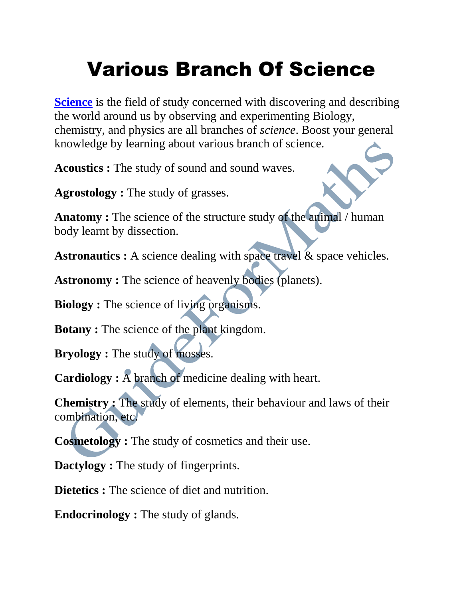## Various Branch Of Science

**[Science](https://en.wikipedia.org/wiki/Science)** is the field of study concerned with discovering and describing the world around us by observing and experimenting Biology, chemistry, and physics are all branches of *science*. Boost your general knowledge by learning about various branch of science.

**Acoustics :** The study of sound and sound waves.

**Agrostology :** The study of grasses.

**Anatomy :** The science of the structure study of the animal / human body learnt by dissection.

**Astronautics :** A science dealing with space travel & space vehicles.

**Astronomy :** The science of heavenly bodies (planets).

**Biology :** The science of living organisms.

**Botany :** The science of the plant kingdom.

**Bryology :** The study of mosses.

**Cardiology :** A branch of medicine dealing with heart.

**Chemistry :** The study of elements, their behaviour and laws of their combination, etc.

**Cosmetology :** The study of cosmetics and their use.

**Dactylogy :** The study of fingerprints.

**Dietetics :** The science of diet and nutrition.

**Endocrinology :** The study of glands.